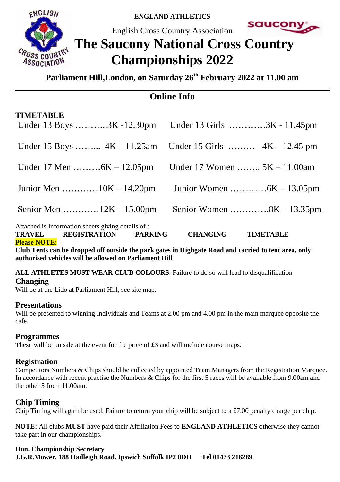

**ENGLAND ATHLETICS** 

English Cross Country Association



# **The Saucony National Cross Country Championships 2022**

**Parliament Hill,London, on Saturday 26th February 2022 at 11.00 am**

# **Online Info**

| <b>Please NOTE:</b><br>$\sim$ $\sim$ $\sim$         | $\mathbf{r}$ , $\mathbf{r}$ , $\mathbf{r}$ , $\mathbf{r}$ , $\mathbf{r}$ , $\mathbf{r}$ , $\mathbf{r}$ , $\mathbf{r}$ , $\mathbf{r}$ , $\mathbf{r}$ , $\mathbf{r}$ , $\mathbf{r}$ , $\mathbf{r}$ , $\mathbf{r}$ , $\mathbf{r}$ , $\mathbf{r}$ , $\mathbf{r}$ , $\mathbf{r}$ , $\mathbf{r}$ , $\mathbf{r}$ , |
|-----------------------------------------------------|-------------------------------------------------------------------------------------------------------------------------------------------------------------------------------------------------------------------------------------------------------------------------------------------------------------|
| TRAVEL REGISTRATION PARKING                         | <b>CHANGING</b><br><b>TIMETABLE</b>                                                                                                                                                                                                                                                                         |
| Attached is Information sheets giving details of :- |                                                                                                                                                                                                                                                                                                             |
|                                                     | Senior Women $8K - 13.35$ pm                                                                                                                                                                                                                                                                                |
| Junior Men 10K – 14.20pm                            |                                                                                                                                                                                                                                                                                                             |
| Under 17 Men $6K - 12.05$ pm                        | Under 17 Women $5K - 11.00$ am                                                                                                                                                                                                                                                                              |
|                                                     | Under 15 Boys $4K - 11.25$ am Under 15 Girls $4K - 12.45$ pm                                                                                                                                                                                                                                                |
| <b>TIMETABLE</b>                                    | Under 13 Boys 3K -12.30pm Under 13 Girls 3K - 11.45pm                                                                                                                                                                                                                                                       |

**Club Tents can be dropped off outside the park gates in Highgate Road and carried to tent area, only authorised vehicles will be allowed on Parliament Hill** 

# **ALL ATHLETES MUST WEAR CLUB COLOURS**. Failure to do so will lead to disqualification

**Changing** 

Will be at the Lido at Parliament Hill, see site map.

# **Presentations**

Will be presented to winning Individuals and Teams at 2.00 pm and 4.00 pm in the main marquee opposite the cafe.

# **Programmes**

These will be on sale at the event for the price of £3 and will include course maps.

# **Registration**

Competitors Numbers & Chips should be collected by appointed Team Managers from the Registration Marquee. In accordance with recent practise the Numbers & Chips for the first 5 races will be available from 9.00am and the other 5 from 11.00am.

# **Chip Timing**

Chip Timing will again be used. Failure to return your chip will be subject to a £7.00 penalty charge per chip.

**NOTE:** All clubs **MUST** have paid their Affiliation Fees to **ENGLAND ATHLETICS** otherwise they cannot take part in our championships.

# **Hon. Championship Secretary**

**J.G.R.Mower. 188 Hadleigh Road. Ipswich Suffolk IP2 0DH Tel 01473 216289**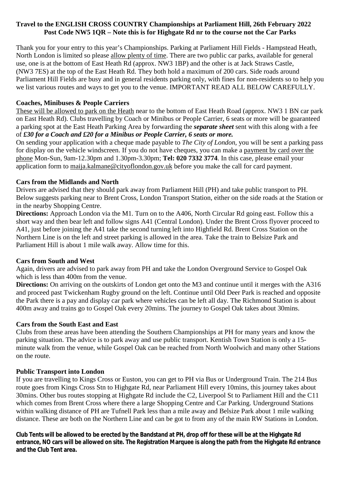#### **Travel to the ENGLISH CROSS COUNTRY Championships at Parliament Hill, 26th February 2022 Post Code NW5 1QR – Note this is for Highgate Rd nr to the course not the Car Parks**

Thank you for your entry to this year's Championships. Parking at Parliament Hill Fields - Hampstead Heath, North London is limited so please allow plenty of time. There are two public car parks, available for general use, one is at the bottom of East Heath Rd (approx. NW3 1BP) and the other is at Jack Straws Castle, (NW3 7ES) at the top of the East Heath Rd. They both hold a maximum of 200 cars. Side roads around Parliament Hill Fields are busy and in general residents parking only, with fines for non-residents so to help you we list various routes and ways to get you to the venue. IMPORTANT READ ALL BELOW CAREFULLY.

#### **Coaches, Minibuses & People Carriers**

These will be allowed to park on the Heath near to the bottom of East Heath Road (approx. NW3 1 BN car park on East Heath Rd). Clubs travelling by Coach or Minibus or People Carrier, 6 seats or more will be guaranteed a parking spot at the East Heath Parking Area by forwarding the *separate sheet* sent with this along with a fee of *£30 for a Coach and £20 for a Minibus or People Carrier, 6 seats or more.*

On sending your application with a cheque made payable to *The City of London*, you will be sent a parking pass for display on the vehicle windscreen. If you do not have cheques, you can make a payment by card over the phone Mon-Sun, 9am-12.30pm and 1.30pm-3.30pm; **Tel: 020 7332 3774**. In this case, please email your application form to [maija.kalmane@cityoflondon.gov.uk](mailto:maija.kalmane@cityoflondon.gov.uk) before you make the call for card payment.

#### **Cars from the Midlands and North**

Drivers are advised that they should park away from Parliament Hill (PH) and take public transport to PH. Below suggests parking near to Brent Cross, London Transport Station, either on the side roads at the Station or in the nearby Shopping Centre.

**Directions:** Approach London via the M1. Turn on to the A406, North Circular Rd going east. Follow this a short way and then bear left and follow signs A41 (Central London). Under the Brent Cross flyover proceed to A41, just before joining the A41 take the second turning left into Highfield Rd. Brent Cross Station on the Northern Line is on the left and street parking is allowed in the area. Take the train to Belsize Park and Parliament Hill is about 1 mile walk away. Allow time for this.

#### **Cars from South and West**

Again, drivers are advised to park away from PH and take the London Overground Service to Gospel Oak which is less than 400m from the venue.

**Directions:** On arriving on the outskirts of London get onto the M3 and continue until it merges with the A316 and proceed past Twickenham Rugby ground on the left. Continue until Old Deer Park is reached and opposite the Park there is a pay and display car park where vehicles can be left all day. The Richmond Station is about 400m away and trains go to Gospel Oak every 20mins. The journey to Gospel Oak takes about 30mins.

#### **Cars from the South East and East**

Clubs from these areas have been attending the Southern Championships at PH for many years and know the parking situation. The advice is to park away and use public transport. Kentish Town Station is only a 15 minute walk from the venue, while Gospel Oak can be reached from North Woolwich and many other Stations on the route.

#### **Public Transport into London**

If you are travelling to Kings Cross or Euston, you can get to PH via Bus or Underground Train. The 214 Bus route goes from Kings Cross Stn to Highgate Rd, near Parliament Hill every 10mins, this journey takes about 30mins. Other bus routes stopping at Highgate Rd include the C2, Liverpool St to Parliament Hill and the C11 which comes from Brent Cross where there a large Shopping Centre and Car Parking. Underground Stations within walking distance of PH are Tufnell Park less than a mile away and Belsize Park about 1 mile walking distance. These are both on the Northern Line and can be got to from any of the main RW Stations in London.

Club Tents will be allowed to be erected by the Bandstand at PH, drop off for these will be at the Highgate Rd entrance, NO cars will be allowed on site. The Registration Marquee is along the path from the Highgate Rd entrance **and the Club Tent area.**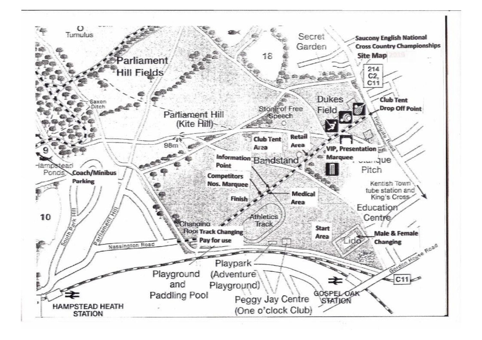